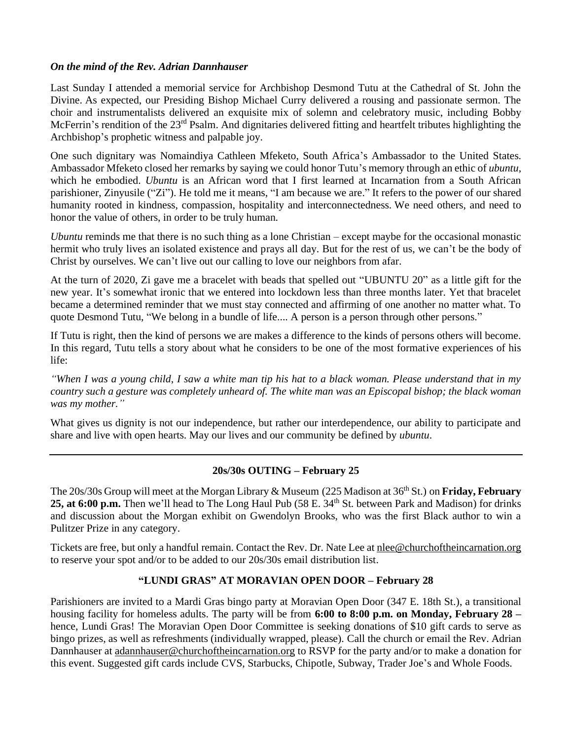### *On the mind of the Rev. Adrian Dannhauser*

Last Sunday I attended a memorial service for Archbishop Desmond Tutu at the Cathedral of St. John the Divine. As expected, our Presiding Bishop Michael Curry delivered a rousing and passionate sermon. The choir and instrumentalists delivered an exquisite mix of solemn and celebratory music, including Bobby McFerrin's rendition of the 23<sup>rd</sup> Psalm. And dignitaries delivered fitting and heartfelt tributes highlighting the Archbishop's prophetic witness and palpable joy.

One such dignitary was Nomaindiya Cathleen Mfeketo, South Africa's Ambassador to the United States. Ambassador Mfeketo closed her remarks by saying we could honor Tutu's memory through an ethic of *ubuntu*, which he embodied. *Ubuntu* is an African word that I first learned at Incarnation from a South African parishioner, Zinyusile ("Zi"). He told me it means, "I am because we are." It refers to the power of our shared humanity rooted in kindness, compassion, hospitality and interconnectedness. We need others, and need to honor the value of others, in order to be truly human.

*Ubuntu* reminds me that there is no such thing as a lone Christian – except maybe for the occasional monastic hermit who truly lives an isolated existence and prays all day. But for the rest of us, we can't be the body of Christ by ourselves. We can't live out our calling to love our neighbors from afar.

At the turn of 2020, Zi gave me a bracelet with beads that spelled out "UBUNTU 20" as a little gift for the new year. It's somewhat ironic that we entered into lockdown less than three months later. Yet that bracelet became a determined reminder that we must stay connected and affirming of one another no matter what. To quote Desmond Tutu, "We belong in a bundle of life.... A person is a person through other persons."

If Tutu is right, then the kind of persons we are makes a difference to the kinds of persons others will become. In this regard, Tutu tells a story about what he considers to be one of the most formative experiences of his life:

*"When I was a young child, I saw a white man tip his hat to a black woman. Please understand that in my country such a gesture was completely unheard of. The white man was an Episcopal bishop; the black woman was my mother."*

What gives us dignity is not our independence, but rather our interdependence, our ability to participate and share and live with open hearts. May our lives and our community be defined by *ubuntu*.

# **20s/30s OUTING – February 25**

The 20s/30s Group will meet at the Morgan Library & Museum (225 Madison at 36<sup>th</sup> St.) on Friday, February 25, at 6:00 p.m. Then we'll head to The Long Haul Pub (58 E. 34<sup>th</sup> St. between Park and Madison) for drinks and discussion about the Morgan exhibit on Gwendolyn Brooks, who was the first Black author to win a Pulitzer Prize in any category.

Tickets are free, but only a handful remain. Contact the Rev. Dr. Nate Lee a[t nlee@churchoftheincarnation.org](mailto:nlee@churchoftheincarnation.org) to reserve your spot and/or to be added to our 20s/30s email distribution list.

# **"LUNDI GRAS" AT MORAVIAN OPEN DOOR – February 28**

Parishioners are invited to a Mardi Gras bingo party at Moravian Open Door (347 E. 18th St.), a transitional housing facility for homeless adults. The party will be from **6:00 to 8:00 p.m. on Monday, February 28 –** hence, Lundi Gras! The Moravian Open Door Committee is seeking donations of \$10 gift cards to serve as bingo prizes, as well as refreshments (individually wrapped, please). Call the church or email the Rev. Adrian Dannhauser at [adannhauser@churchoftheincarnation.org](mailto:adannhauser@churchoftheincarnation.or) to RSVP for the party and/or to make a donation for this event. Suggested gift cards include CVS, Starbucks, Chipotle, Subway, Trader Joe's and Whole Foods.